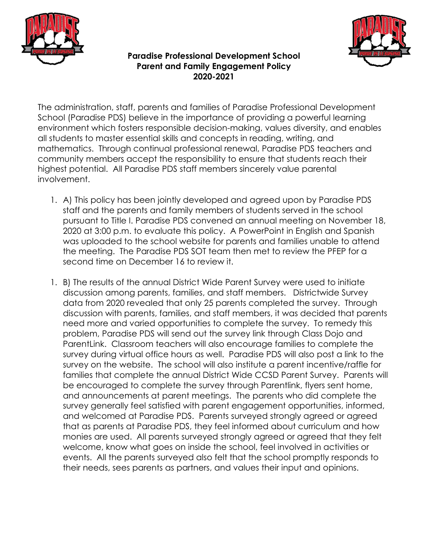



**Paradise Professional Development School Parent and Family Engagement Policy 2020-2021**

The administration, staff, parents and families of Paradise Professional Development School (Paradise PDS) believe in the importance of providing a powerful learning environment which fosters responsible decision-making, values diversity, and enables all students to master essential skills and concepts in reading, writing, and mathematics. Through continual professional renewal, Paradise PDS teachers and community members accept the responsibility to ensure that students reach their highest potential. All Paradise PDS staff members sincerely value parental involvement.

- 1. A) This policy has been jointly developed and agreed upon by Paradise PDS staff and the parents and family members of students served in the school pursuant to Title I. Paradise PDS convened an annual meeting on November 18, 2020 at 3:00 p.m. to evaluate this policy. A PowerPoint in English and Spanish was uploaded to the school website for parents and families unable to attend the meeting. The Paradise PDS SOT team then met to review the PFEP for a second time on December 16 to review it.
- 1. B) The results of the annual District Wide Parent Survey were used to initiate discussion among parents, families, and staff members. Districtwide Survey data from 2020 revealed that only 25 parents completed the survey. Through discussion with parents, families, and staff members, it was decided that parents need more and varied opportunities to complete the survey. To remedy this problem, Paradise PDS will send out the survey link through Class Dojo and ParentLink. Classroom teachers will also encourage families to complete the survey during virtual office hours as well. Paradise PDS will also post a link to the survey on the website. The school will also institute a parent incentive/raffle for families that complete the annual District Wide CCSD Parent Survey. Parents will be encouraged to complete the survey through Parentlink, flyers sent home, and announcements at parent meetings. The parents who did complete the survey generally feel satisfied with parent engagement opportunities, informed, and welcomed at Paradise PDS. Parents surveyed strongly agreed or agreed that as parents at Paradise PDS, they feel informed about curriculum and how monies are used. All parents surveyed strongly agreed or agreed that they felt welcome, know what goes on inside the school, feel involved in activities or events. All the parents surveyed also felt that the school promptly responds to their needs, sees parents as partners, and values their input and opinions.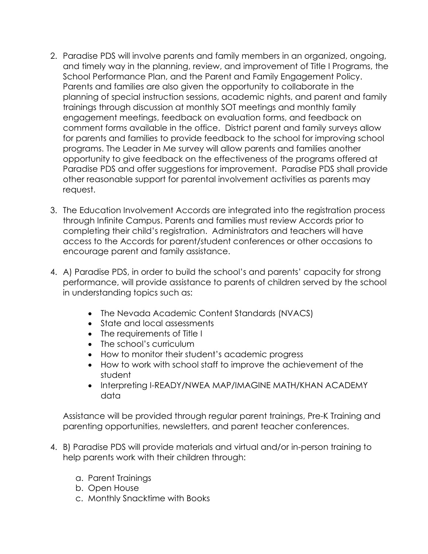- 2. Paradise PDS will involve parents and family members in an organized, ongoing, and timely way in the planning, review, and improvement of Title I Programs, the School Performance Plan, and the Parent and Family Engagement Policy. Parents and families are also given the opportunity to collaborate in the planning of special instruction sessions, academic nights, and parent and family trainings through discussion at monthly SOT meetings and monthly family engagement meetings, feedback on evaluation forms, and feedback on comment forms available in the office. District parent and family surveys allow for parents and families to provide feedback to the school for improving school programs. The Leader in Me survey will allow parents and families another opportunity to give feedback on the effectiveness of the programs offered at Paradise PDS and offer suggestions for improvement. Paradise PDS shall provide other reasonable support for parental involvement activities as parents may request.
- 3. The Education Involvement Accords are integrated into the registration process through Infinite Campus. Parents and families must review Accords prior to completing their child's registration. Administrators and teachers will have access to the Accords for parent/student conferences or other occasions to encourage parent and family assistance.
- 4. A) Paradise PDS, in order to build the school's and parents' capacity for strong performance, will provide assistance to parents of children served by the school in understanding topics such as:
	- The Nevada Academic Content Standards (NVACS)
	- State and local assessments
	- The requirements of Title I
	- The school's curriculum
	- How to monitor their student's academic progress
	- How to work with school staff to improve the achievement of the student
	- Interpreting I-READY/NWEA MAP/IMAGINE MATH/KHAN ACADEMY data

Assistance will be provided through regular parent trainings, Pre-K Training and parenting opportunities, newsletters, and parent teacher conferences.

- 4. B) Paradise PDS will provide materials and virtual and/or in-person training to help parents work with their children through:
	- a. Parent Trainings
	- b. Open House
	- c. Monthly Snacktime with Books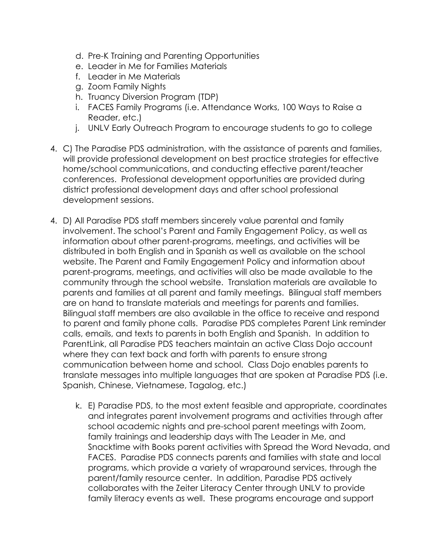- d. Pre-K Training and Parenting Opportunities
- e. Leader in Me for Families Materials
- f. Leader in Me Materials
- g. Zoom Family Nights
- h. Truancy Diversion Program (TDP)
- i. FACES Family Programs (i.e. Attendance Works, 100 Ways to Raise a Reader, etc.)
- j. UNLV Early Outreach Program to encourage students to go to college
- 4. C) The Paradise PDS administration, with the assistance of parents and families, will provide professional development on best practice strategies for effective home/school communications, and conducting effective parent/teacher conferences. Professional development opportunities are provided during district professional development days and after school professional development sessions.
- 4. D) All Paradise PDS staff members sincerely value parental and family involvement. The school's Parent and Family Engagement Policy, as well as information about other parent-programs, meetings, and activities will be distributed in both English and in Spanish as well as available on the school website. The Parent and Family Engagement Policy and information about parent-programs, meetings, and activities will also be made available to the community through the school website. Translation materials are available to parents and families at all parent and family meetings. Bilingual staff members are on hand to translate materials and meetings for parents and families. Bilingual staff members are also available in the office to receive and respond to parent and family phone calls. Paradise PDS completes Parent Link reminder calls, emails, and texts to parents in both English and Spanish. In addition to ParentLink, all Paradise PDS teachers maintain an active Class Dojo account where they can text back and forth with parents to ensure strong communication between home and school. Class Dojo enables parents to translate messages into multiple languages that are spoken at Paradise PDS (i.e. Spanish, Chinese, Vietnamese, Tagalog, etc.)
	- k. E) Paradise PDS, to the most extent feasible and appropriate, coordinates and integrates parent involvement programs and activities through after school academic nights and pre-school parent meetings with Zoom, family trainings and leadership days with The Leader in Me, and Snacktime with Books parent activities with Spread the Word Nevada, and FACES. Paradise PDS connects parents and families with state and local programs, which provide a variety of wraparound services, through the parent/family resource center. In addition, Paradise PDS actively collaborates with the Zeiter Literacy Center through UNLV to provide family literacy events as well. These programs encourage and support